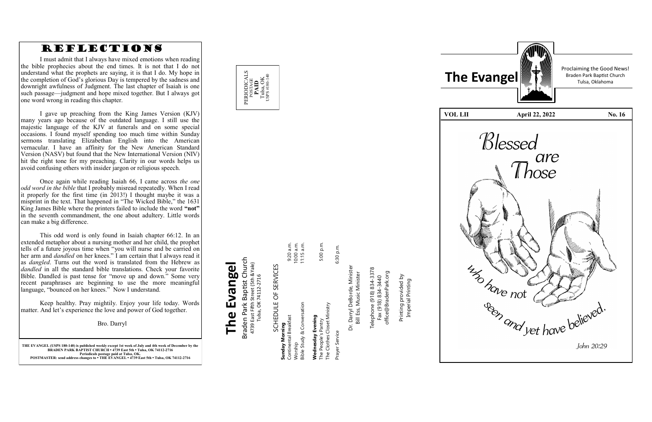

**THE EVANGEL (USPS 180 -140) is published weekly except 1st week of July and 4th week of December by the BRADEN PARK BAPTIST CHURCH • 4739 East 5th • Tulsa, OK 74112 -2716 Periodicals postage paid at Tulsa, OK. POSTMASTER: send address changes to • THE EVANGEL • 4739 East 5th • Tulsa, OK 74112 -2716**

### Braden Park Baptist Church<br>4739 East Fifth Street (5th &Yale)<br>Tulsa, OK 74112-2716 Braden Park Baptist Church **The Evangel** 4739 East Fifth Street (5th &Yale) The Evangel Tulsa, OK 74112-2716

SCHEDULE OF SERVICES SCHEDULE OF SERVICES

# Prayer Service 6:30 p.m. The Clothes Closet Ministry The Clothes Closet Ministry Prayer Service

6:30 p.m.



Dr. Darryl DeBorde, Minister<br>Bill Ess, Music Minister Dr. Darryl DeBorde, Minister Bill Ess, Music Minister

Telephone (918) 834-3378<br>Fax (918) 834-3440 Telephone (918) 834-3378 office@BradenPark.org office@BradenPark.org Fax (918) 834-3440

| בתאיני הרא הרא המה ה       |              |
|----------------------------|--------------|
| <b>Sunday Morning</b>      |              |
| Continental Breakfast      | 9:20 a.m.    |
| Worship                    | 10:00 a.m.   |
| Bible Study & Conversation | $11:15$ a.m. |
|                            |              |
| Wednesday Evening          |              |
| The People's Pantry        | 5:00 p.m.    |
|                            |              |

 $E \nsubseteq E$ 

Printing provided by Printing provided by<br>Imperial Printing Imperial Printing



Proclaiming the Good News!



### REFLECTIONS

I must admit that I always have mixed emotions when reading the bible prophecies about the end times. It is not that I do not understand what the prophets are saying, it is that I do. My hope in the completion of God 's glorious Day is tempered by the sadness and downright awfulness of Judgment. The last chapter of Isaiah is one such passage —judgment and hope mixed together. But I always got one word wrong in reading this chapter.

I gave up preaching from the King James Version (KJV) many years ago because of the outdated language. I still use the majestic language of the KJV at funerals and on some special occasions. I found myself spending too much time within Sunday sermons translating Elizabethan English into the American vernacular. I have an affinity for the New American Standard Version (NASV) but found that the New International Version (NIV) hit the right tone for my preaching. Clarity in our words helps us avoid confusing others with insider jargon or religious speech.

Once again while reading Isaiah 66, I came across *the one odd word in the bible* that I probably misread repeatedly. When I read it properly for the first time (in 2013!) I thought maybe it was a misprint in the text. That happened in "The Wicked Bible," the 1631 King James Bible where the printers failed to include the word **"not "** in the seventh commandment, the one about adultery. Little words can make a big difference.

This odd word is only found in Isaiah chapter 66:12. In an extended metaphor about a nursing mother and her child, the prophet tells of a future joyous time when "you will nurse and be carried on her arm and *dandled* on her knees." I am certain that I always read it as *dangled*. Turns out the word is translated from the Hebrew as *dandled* in all the standard bible translations. Check your favorite Bible. Dandled is past tense for "move up and down." Some very recent paraphrases are beginning to use the more meaningful language, "bounced on her knees." Now I understand.

Keep healthy. Pray mightily. Enjoy your life today. Words matter. And let 's experience the love and power of God together.

Bro. Darryl